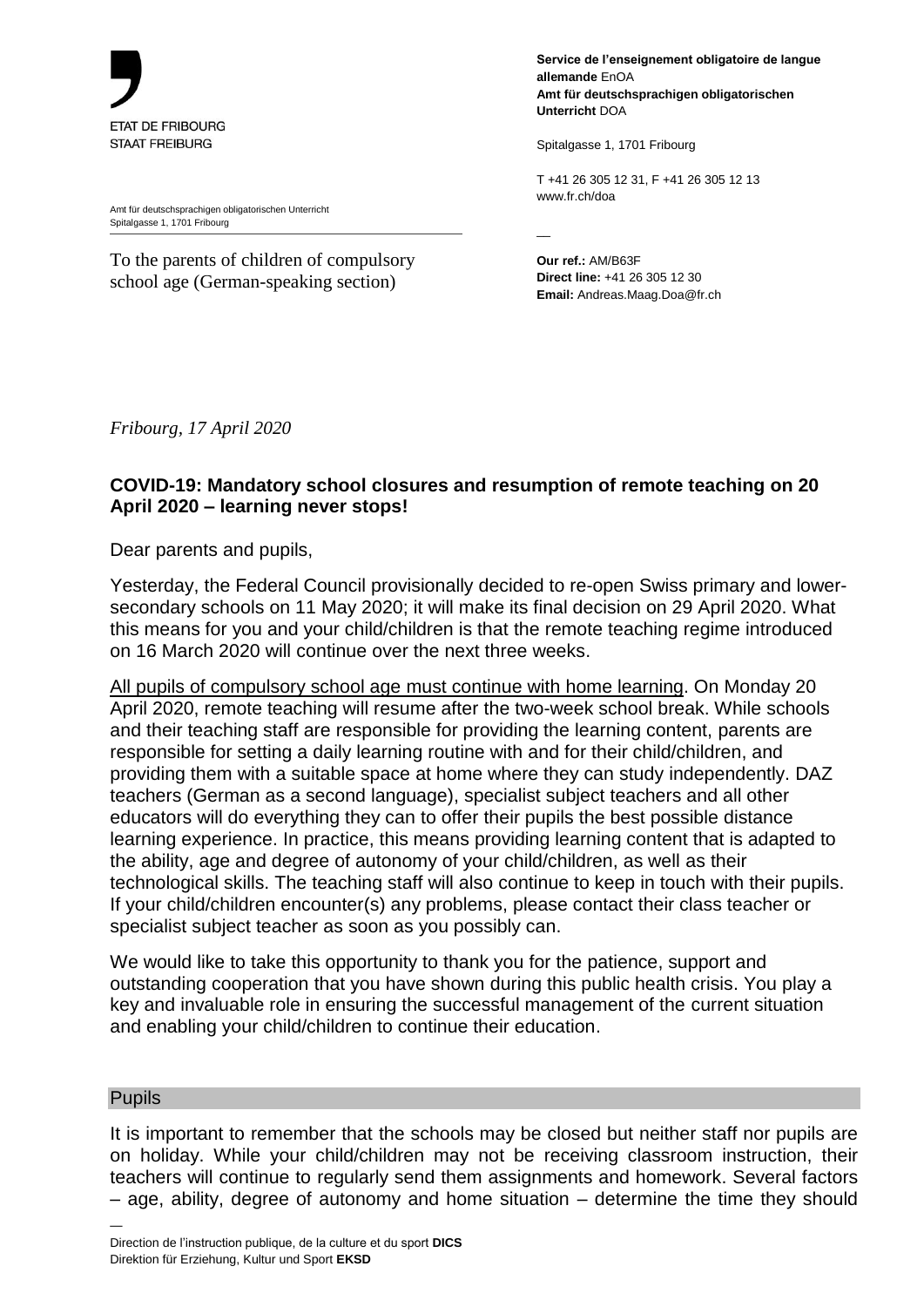

Amt für deutschsprachigen obligatorischen Unterricht Spitalgasse 1, 1701 Fribourg

To the parents of children of compulsory school age (German-speaking section)

**Service de l'enseignement obligatoire de langue allemande** EnOA **Amt für deutschsprachigen obligatorischen Unterricht** DOA

Spitalgasse 1, 1701 Fribourg

T +41 26 305 12 31, F +41 26 305 12 13 www.fr.ch/doa

 $\overline{\phantom{a}}$ 

**Our ref.:** AM/B63F **Direct line:** +41 26 305 12 30 **Email:** Andreas.Maag.Doa@fr.ch

*Fribourg, 17 April 2020*

# **COVID-19: Mandatory school closures and resumption of remote teaching on 20 April 2020 – learning never stops!**

Dear parents and pupils,

Yesterday, the Federal Council provisionally decided to re-open Swiss primary and lowersecondary schools on 11 May 2020; it will make its final decision on 29 April 2020. What this means for you and your child/children is that the remote teaching regime introduced on 16 March 2020 will continue over the next three weeks.

All pupils of compulsory school age must continue with home learning. On Monday 20 April 2020, remote teaching will resume after the two-week school break. While schools and their teaching staff are responsible for providing the learning content, parents are responsible for setting a daily learning routine with and for their child/children, and providing them with a suitable space at home where they can study independently. DAZ teachers (German as a second language), specialist subject teachers and all other educators will do everything they can to offer their pupils the best possible distance learning experience. In practice, this means providing learning content that is adapted to the ability, age and degree of autonomy of your child/children, as well as their technological skills. The teaching staff will also continue to keep in touch with their pupils. If your child/children encounter(s) any problems, please contact their class teacher or specialist subject teacher as soon as you possibly can.

We would like to take this opportunity to thank you for the patience, support and outstanding cooperation that you have shown during this public health crisis. You play a key and invaluable role in ensuring the successful management of the current situation and enabling your child/children to continue their education.

### Pupils

—

It is important to remember that the schools may be closed but neither staff nor pupils are on holiday. While your child/children may not be receiving classroom instruction, their teachers will continue to regularly send them assignments and homework. Several factors – age, ability, degree of autonomy and home situation – determine the time they should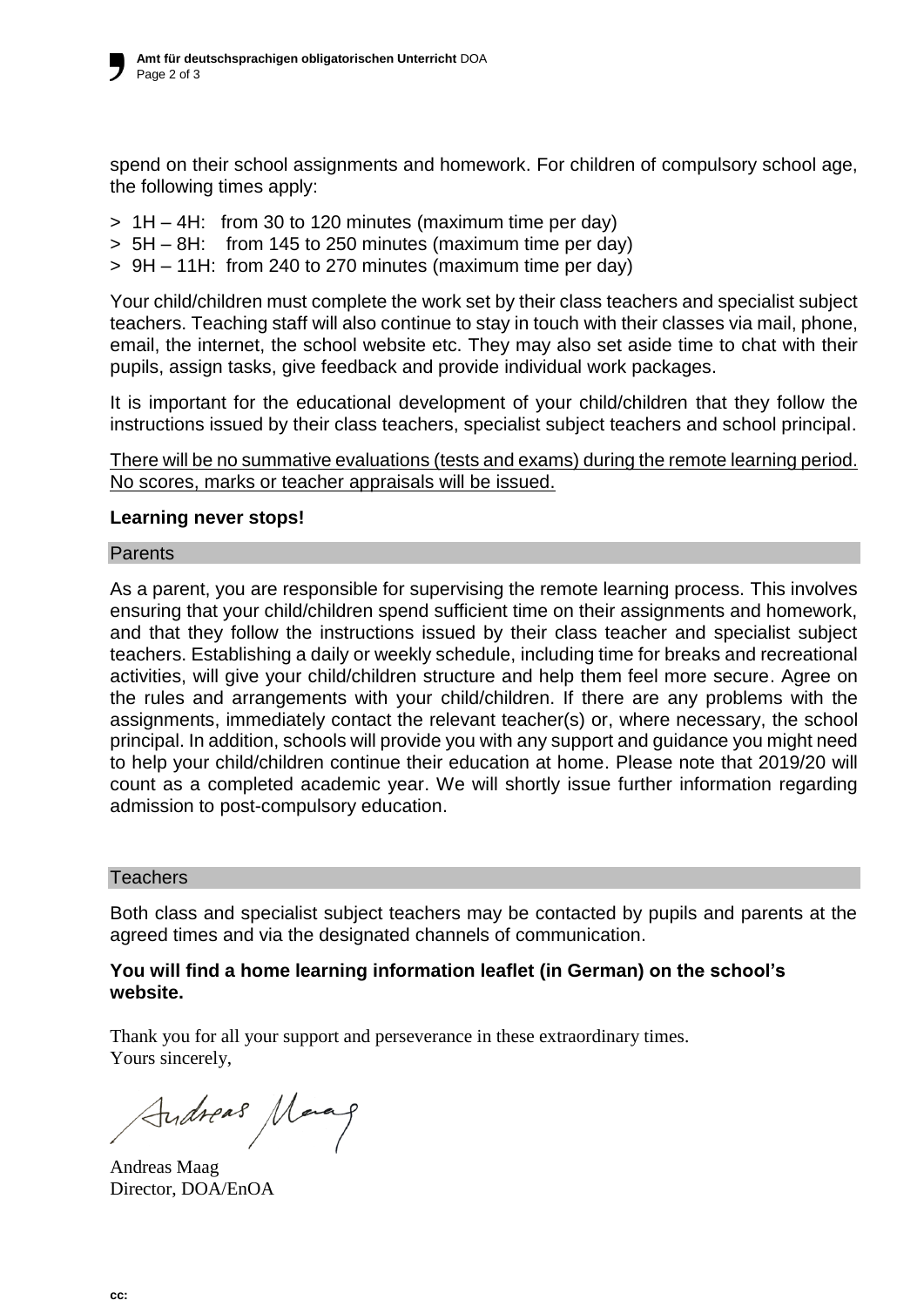spend on their school assignments and homework. For children of compulsory school age, the following times apply:

- $> 1H 4H$ : from 30 to 120 minutes (maximum time per day)
- > 5H 8H: from 145 to 250 minutes (maximum time per day)
- > 9H 11H: from 240 to 270 minutes (maximum time per day)

Your child/children must complete the work set by their class teachers and specialist subject teachers. Teaching staff will also continue to stay in touch with their classes via mail, phone, email, the internet, the school website etc. They may also set aside time to chat with their pupils, assign tasks, give feedback and provide individual work packages.

It is important for the educational development of your child/children that they follow the instructions issued by their class teachers, specialist subject teachers and school principal.

There will be no summative evaluations (tests and exams) during the remote learning period. No scores, marks or teacher appraisals will be issued.

# **Learning never stops!**

#### Parents

As a parent, you are responsible for supervising the remote learning process. This involves ensuring that your child/children spend sufficient time on their assignments and homework, and that they follow the instructions issued by their class teacher and specialist subject teachers. Establishing a daily or weekly schedule, including time for breaks and recreational activities, will give your child/children structure and help them feel more secure. Agree on the rules and arrangements with your child/children. If there are any problems with the assignments, immediately contact the relevant teacher(s) or, where necessary, the school principal. In addition, schools will provide you with any support and guidance you might need to help your child/children continue their education at home. Please note that 2019/20 will count as a completed academic year. We will shortly issue further information regarding admission to post-compulsory education.

### **Teachers**

Both class and specialist subject teachers may be contacted by pupils and parents at the agreed times and via the designated channels of communication.

# **You will find a home learning information leaflet (in German) on the school's website.**

Thank you for all your support and perseverance in these extraordinary times. Yours sincerely,

Audreas Marag

Andreas Maag Director, DOA/EnOA